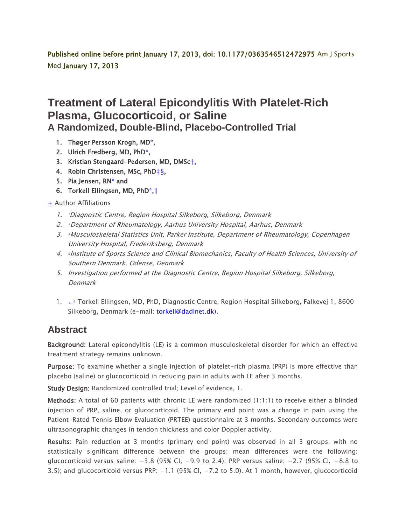Published online before print January 17, 2013, doi: 10.1177/0363546512472975 Am J Sports Med January 17, 2013

## **Treatment of Lateral Epicondylitis With Platelet-Rich Plasma, Glucocorticoid, or Saline A Randomized, Double-Blind, Placebo-Controlled Trial**

- 1. [Thøger Persson Krogh,](http://ajs.sagepub.com/search?author1=Th%C3%B8ger+Persson+Krogh&sortspec=date&submit=Submit) M[D\\*,](http://ajs.sagepub.com/content/early/2013/01/17/0363546512472975#aff-1)
- 2. [Ulrich Fredberg,](http://ajs.sagepub.com/search?author1=Ulrich+Fredberg&sortspec=date&submit=Submit) MD, Ph[D\\*,](http://ajs.sagepub.com/content/early/2013/01/17/0363546512472975#aff-1)
- 3. [Kristian Stengaard-Pedersen,](http://ajs.sagepub.com/search?author1=Kristian+Stengaard-Pedersen&sortspec=date&submit=Submit) MD, DMSc[†](http://ajs.sagepub.com/content/early/2013/01/17/0363546512472975#aff-2),
- 4. [Robin Christensen,](http://ajs.sagepub.com/search?author1=Robin+Christensen&sortspec=date&submit=Submit) MSc, PhD[‡](http://ajs.sagepub.com/content/early/2013/01/17/0363546512472975#aff-3)[§,](http://ajs.sagepub.com/content/early/2013/01/17/0363546512472975#aff-3)
- 5. [Pia Jensen,](http://ajs.sagepub.com/search?author1=Pia+Jensen&sortspec=date&submit=Submit) R[N\\*](http://ajs.sagepub.com/content/early/2013/01/17/0363546512472975#aff-1) and
- 6. [Torkell Ellingsen,](http://ajs.sagepub.com/search?author1=Torkell+Ellingsen&sortspec=date&submit=Submit) MD, Ph[D\\*,](http://ajs.sagepub.com/content/early/2013/01/17/0363546512472975#aff-1)[‖](http://ajs.sagepub.com/content/early/2013/01/17/0363546512472975#corresp-1)

## [+](http://ajs.sagepub.com/content/early/2013/01/17/0363546512472975) Author Affiliations

- 1. \*Diagnostic Centre, Region Hospital Silkeborg, Silkeborg, Denmark
- 2. †Department of Rheumatology, Aarhus University Hospital, Aarhus, Denmark
- 3. ‡Musculoskeletal Statistics Unit, Parker Institute, Department of Rheumatology, Copenhagen University Hospital, Frederiksberg, Denmark
- 4. §Institute of Sports Science and Clinical Biomechanics, Faculty of Health Sciences, University of Southern Denmark, Odense, Denmark
- 5. Investigation performed at the Diagnostic Centre, Region Hospital Silkeborg, Silkeborg, Denmark
- 1. [↵](http://ajs.sagepub.com/content/early/2013/01/17/0363546512472975#xref-corresp-1-1)‖ Torkell Ellingsen, MD, PhD, Diagnostic Centre, Region Hospital Silkeborg, Falkevej 1, 8600 Silkeborg, Denmark (e-mail: [torkell@dadlnet.dk\)](mailto:torkell@dadlnet.dk).

## **Abstract**

Background: Lateral epicondylitis (LE) is a common musculoskeletal disorder for which an effective treatment strategy remains unknown.

Purpose: To examine whether a single injection of platelet-rich plasma (PRP) is more effective than placebo (saline) or glucocorticoid in reducing pain in adults with LE after 3 months.

Study Design: Randomized controlled trial; Level of evidence, 1.

Methods: A total of 60 patients with chronic LE were randomized (1:1:1) to receive either a blinded injection of PRP, saline, or glucocorticoid. The primary end point was a change in pain using the Patient-Rated Tennis Elbow Evaluation (PRTEE) questionnaire at 3 months. Secondary outcomes were ultrasonographic changes in tendon thickness and color Doppler activity.

Results: Pain reduction at 3 months (primary end point) was observed in all 3 groups, with no statistically significant difference between the groups; mean differences were the following: glucocorticoid versus saline: −3.8 (95% CI, −9.9 to 2.4); PRP versus saline: −2.7 (95% CI, −8.8 to 3.5); and glucocorticoid versus PRP: −1.1 (95% CI, −7.2 to 5.0). At 1 month, however, glucocorticoid